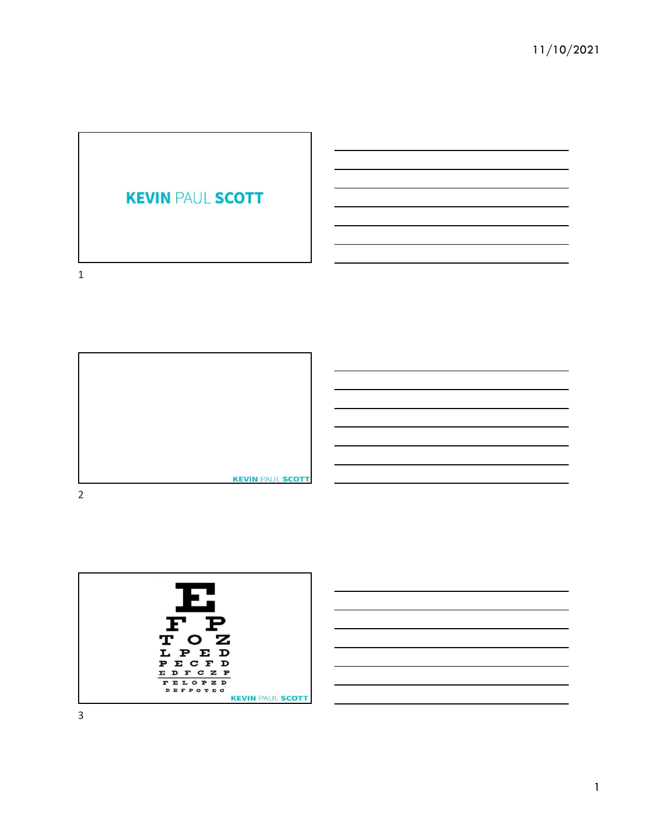





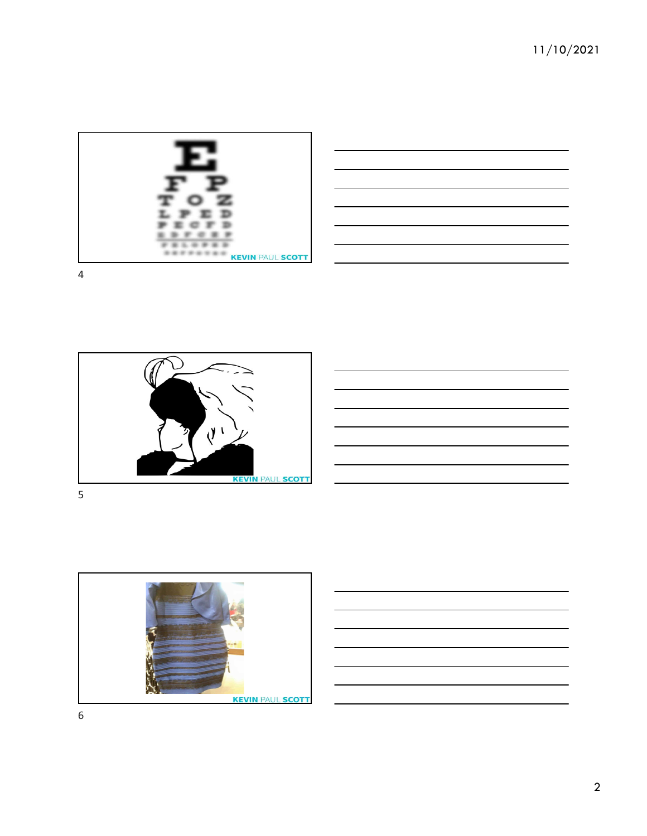

| and the contract of the contract of the contract of the contract of the contract of the contract of the contract of | the control of the control of the control of                                                                         |
|---------------------------------------------------------------------------------------------------------------------|----------------------------------------------------------------------------------------------------------------------|
|                                                                                                                     |                                                                                                                      |
| ,我们也不会有什么?""我们的人,我们也不会有什么?""我们的人,我们也不会有什么?""我们的人,我们也不会有什么?""我们的人,我们也不会有什么?""我们的人                                    | ____                                                                                                                 |
|                                                                                                                     | <u> 1989 - Andrea Andrea Andrea Andrea Andrea Andrea Andrea Andrea Andrea Andrea Andrea Andrea Andrea Andrea And</u> |
|                                                                                                                     |                                                                                                                      |
|                                                                                                                     |                                                                                                                      |
|                                                                                                                     | ______                                                                                                               |







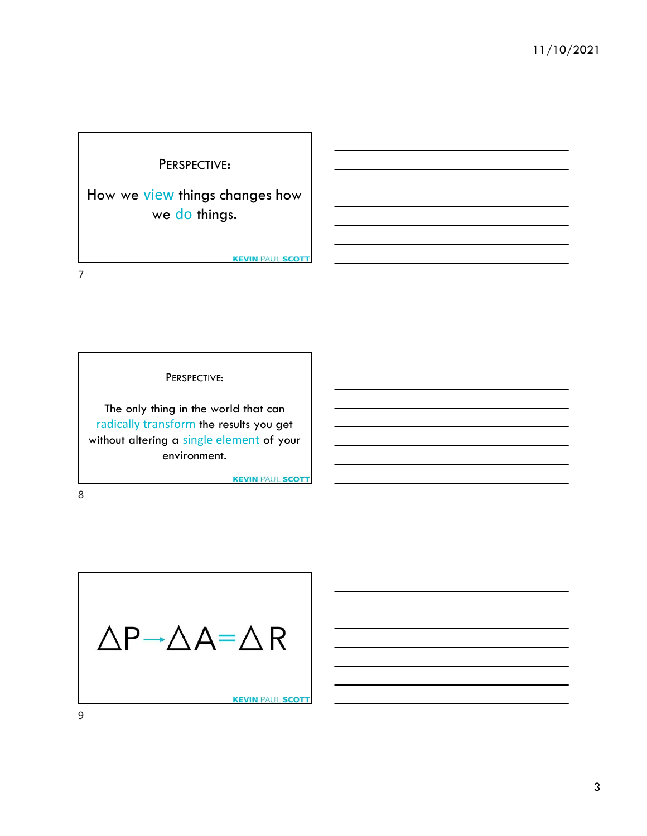

How we view things changes how we do things.

**KEVIN PAUL SCOTT** 

7

PERSPECTIVE:

The only thing in the world that can radically transform the results you get without altering a single element of your environment.

**KEVIN PAUL SCOTT** 

8 and 2010 and 2010 and 2010 and 2010 and 2010 and 2010 and 2010 and 2010 and 2010 and 2010 and 2010 and 2010

$$
\Delta P \rightarrow \Delta A = \Delta R
$$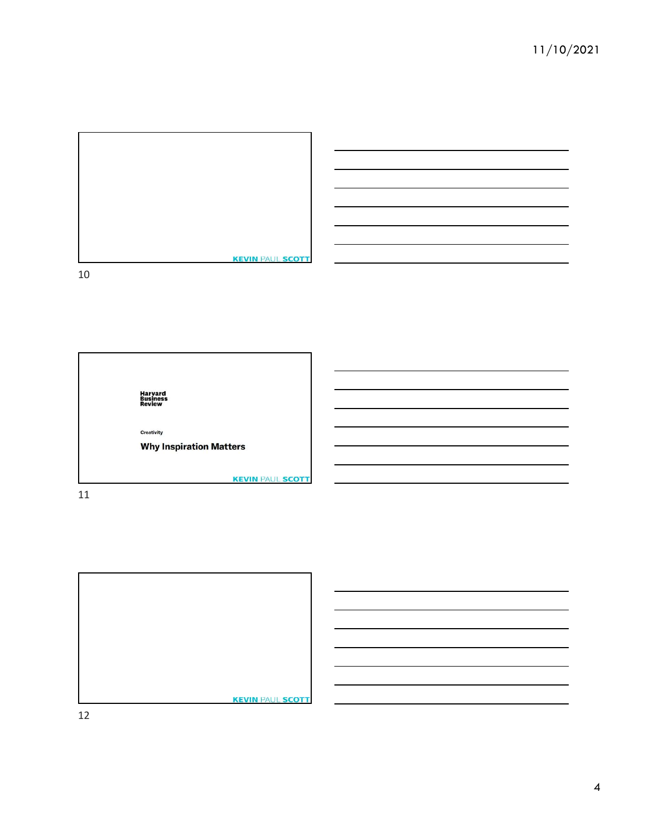

Harvard<br>Business<br>Review Creativity **Why Inspiration Matters KEVIN PAUL SCOTT** 

11

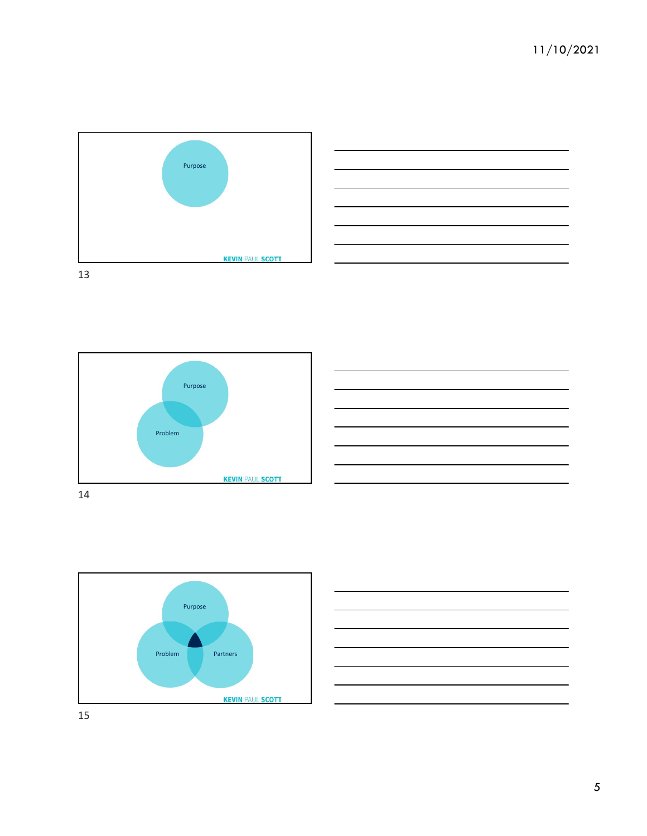









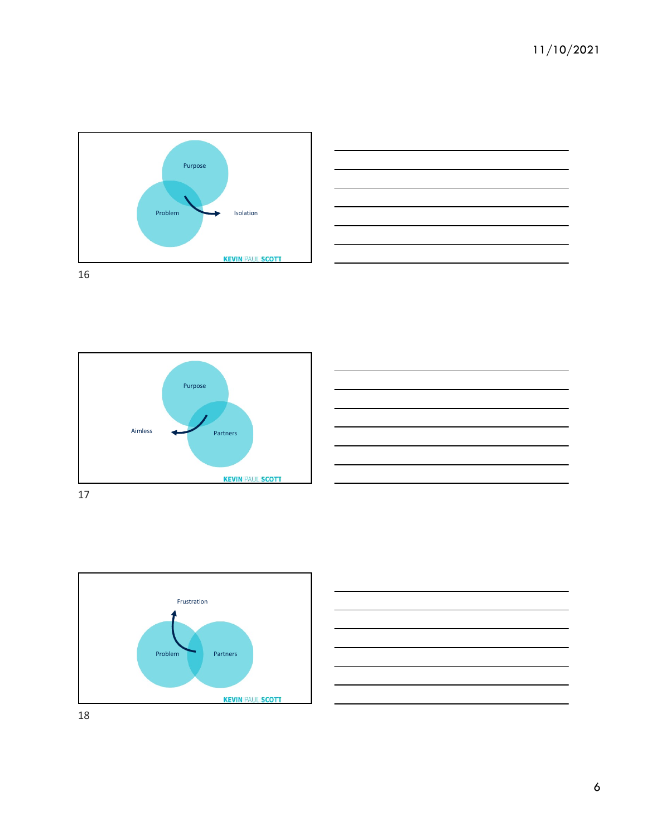









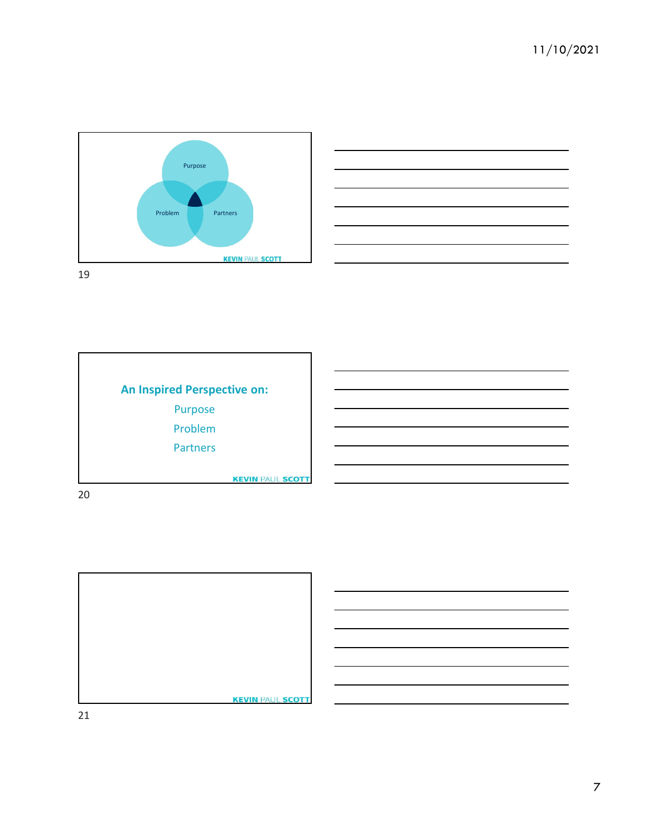





20

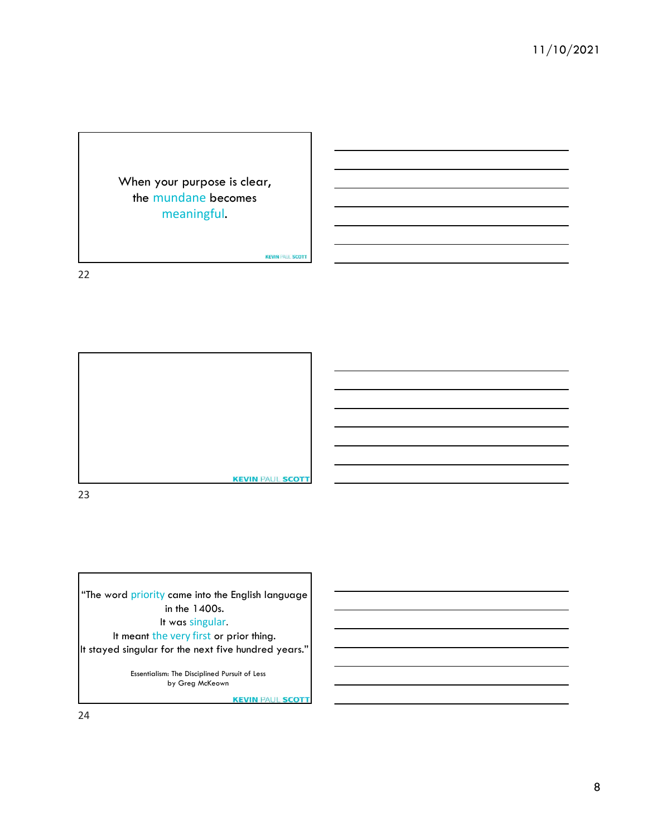When your purpose is clear, the mundane becomes meaningful.

**KEVIN PAUL SCOTT** 

22



23

in the 1400s. It was singular.

It stayed singular for the next five hundred years."

Essentialism: The Disciplined Pursuit of Less by Greg McKeown

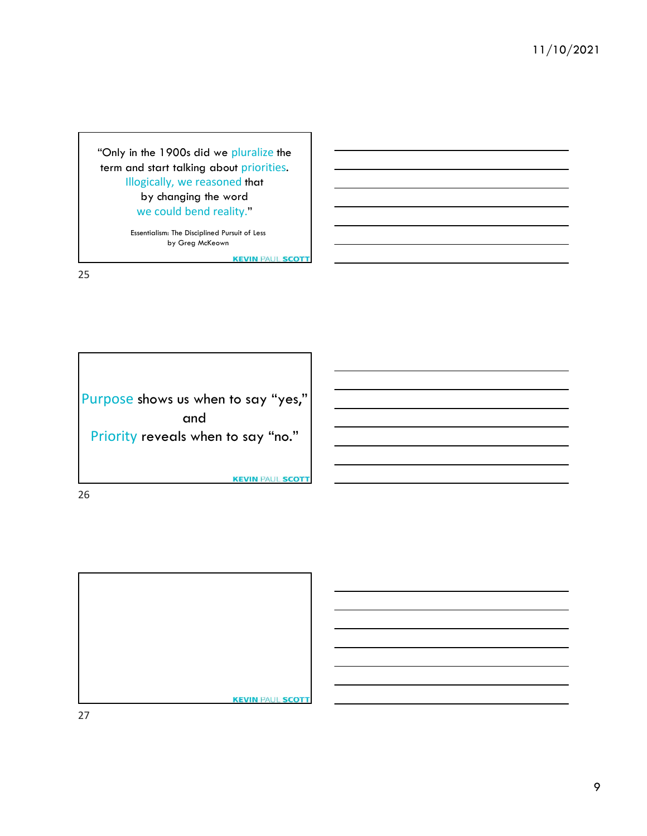"Only in the 1900s did we pluralize the term and start talking about priorities. Illogically, we reasoned that by changing the word we could bend reality."

> Essentialism: The Disciplined Pursuit of Less by Greg McKeown

> > **KEVIN PAUL SCOTT**

25

Purpose shows us when to say "yes," and Priority reveals when to say "no."

**KEVIN PAUL SCOTT** 

26

**KEVIN PAUL SCOTT**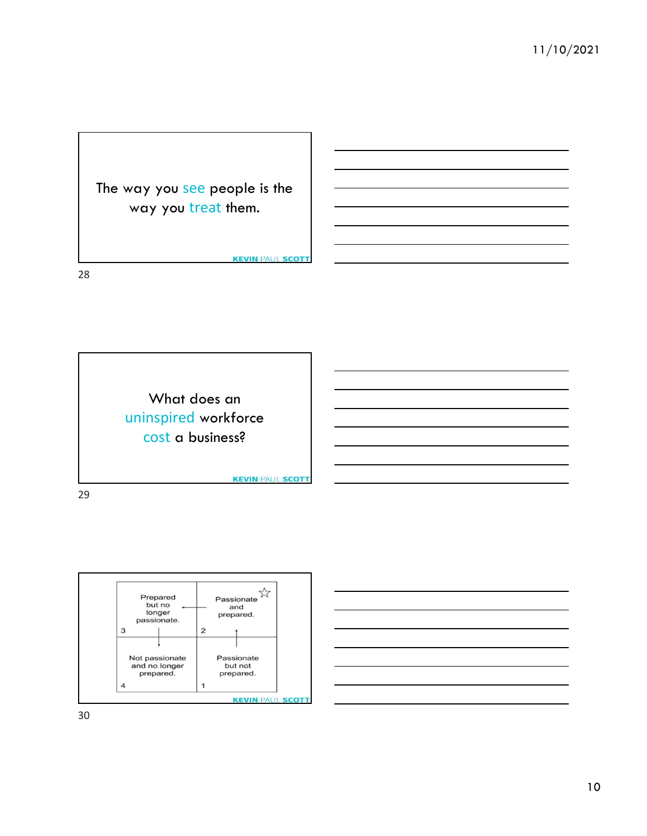

28

What does an uninspired workforce cost a business?

**KEVIN PAUL SCOTT** 

**KEVIN PAUL SCOTT** 

29



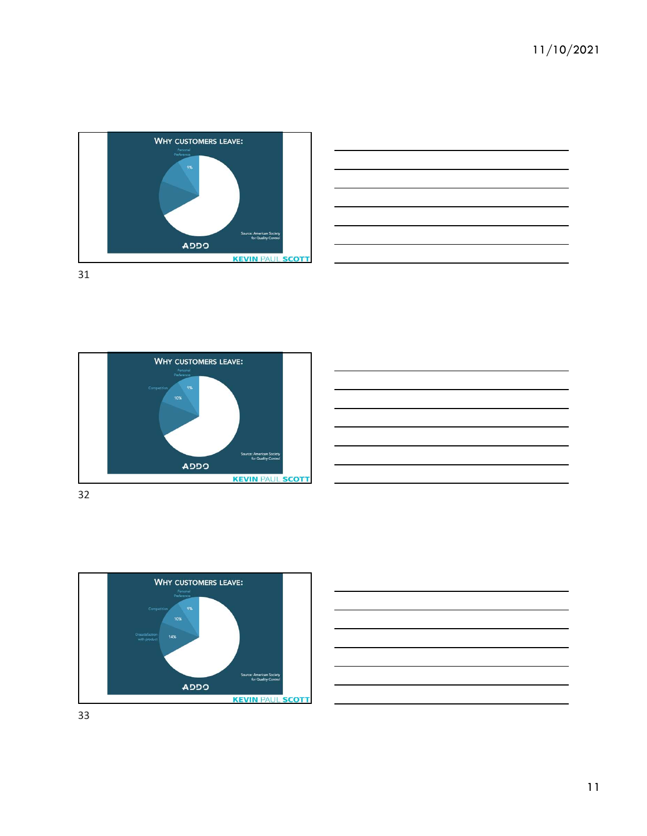









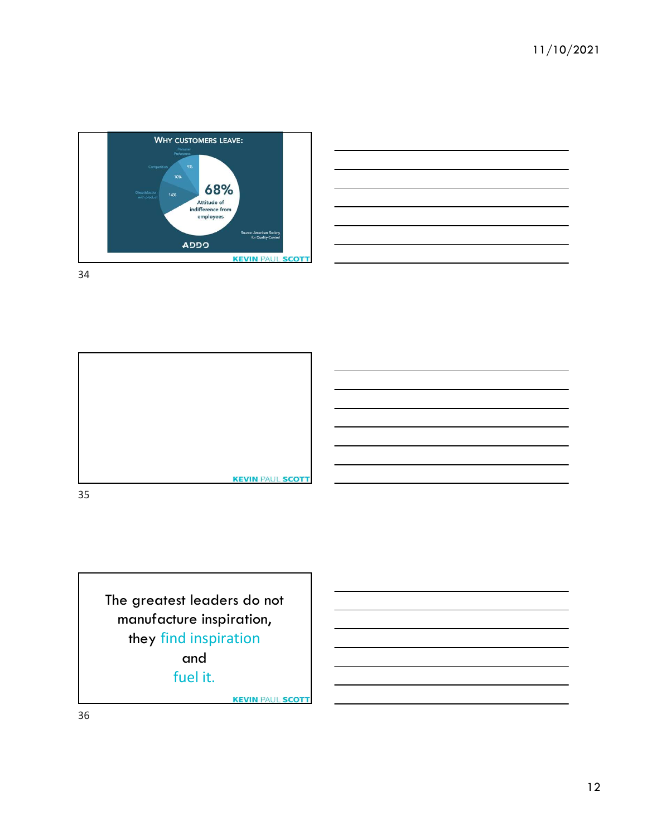





The greatest leaders do not manufacture inspiration, they find inspiration and fuel it.

**KEVIN PAUL SCOTT**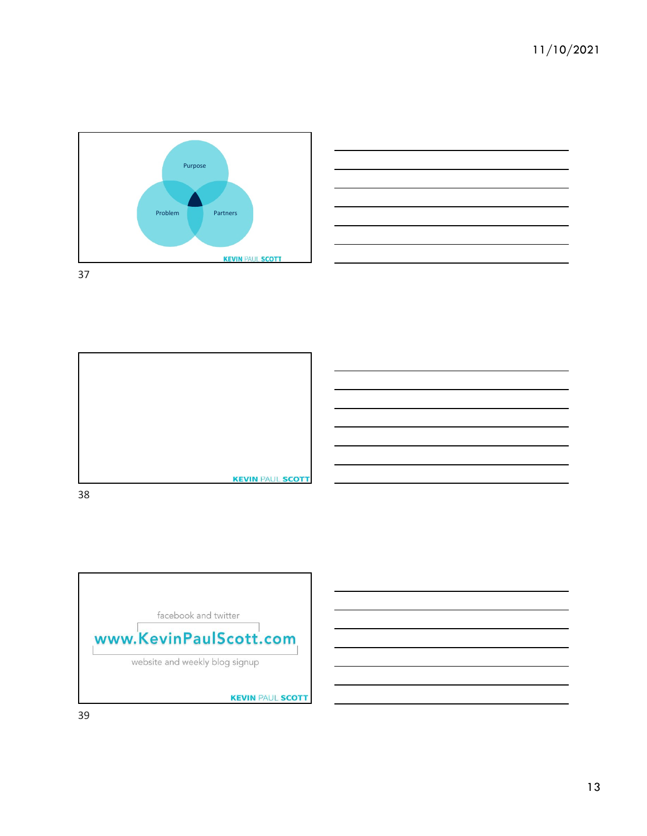